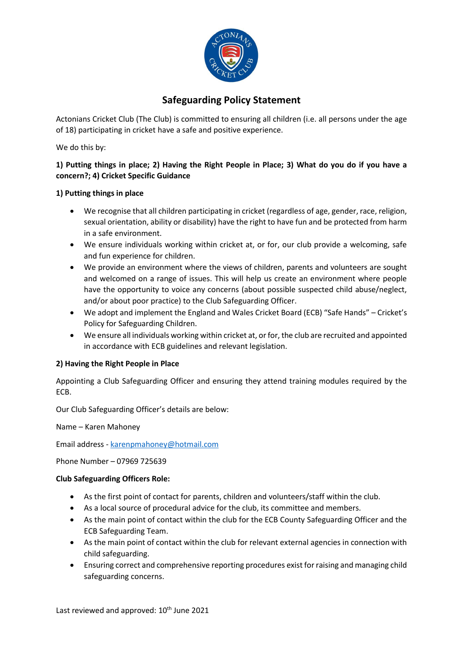

# **Safeguarding Policy Statement**

Actonians Cricket Club (The Club) is committed to ensuring all children (i.e. all persons under the age of 18) participating in cricket have a safe and positive experience.

We do this by:

## **1) Putting things in place; 2) Having the Right People in Place; 3) What do you do if you have a concern?; 4) Cricket Specific Guidance**

#### **1) Putting things in place**

- We recognise that all children participating in cricket (regardless of age, gender, race, religion, sexual orientation, ability or disability) have the right to have fun and be protected from harm in a safe environment.
- We ensure individuals working within cricket at, or for, our club provide a welcoming, safe and fun experience for children.
- We provide an environment where the views of children, parents and volunteers are sought and welcomed on a range of issues. This will help us create an environment where people have the opportunity to voice any concerns (about possible suspected child abuse/neglect, and/or about poor practice) to the Club Safeguarding Officer.
- We adopt and implement the England and Wales Cricket Board (ECB) "Safe Hands" Cricket's Policy for Safeguarding Children.
- We ensure all individuals working within cricket at, or for, the club are recruited and appointed in accordance with ECB guidelines and relevant legislation.

#### **2) Having the Right People in Place**

Appointing a Club Safeguarding Officer and ensuring they attend training modules required by the ECB.

Our Club Safeguarding Officer's details are below:

Name – Karen Mahoney

Email address - [karenpmahoney@hotmail.com](mailto:karenpmahoney@hotmail.com)

Phone Number – 07969 725639

#### **Club Safeguarding Officers Role:**

- As the first point of contact for parents, children and volunteers/staff within the club.
- As a local source of procedural advice for the club, its committee and members.
- As the main point of contact within the club for the ECB County Safeguarding Officer and the ECB Safeguarding Team.
- As the main point of contact within the club for relevant external agencies in connection with child safeguarding.
- Ensuring correct and comprehensive reporting procedures exist for raising and managing child safeguarding concerns.

Last reviewed and approved: 10<sup>th</sup> June 2021